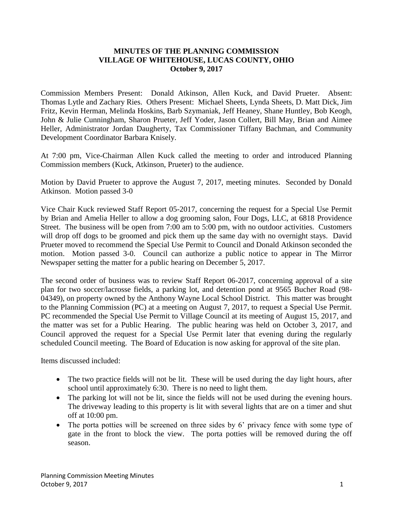## **MINUTES OF THE PLANNING COMMISSION VILLAGE OF WHITEHOUSE, LUCAS COUNTY, OHIO October 9, 2017**

Commission Members Present: Donald Atkinson, Allen Kuck, and David Prueter. Absent: Thomas Lytle and Zachary Ries. Others Present: Michael Sheets, Lynda Sheets, D. Matt Dick, Jim Fritz, Kevin Herman, Melinda Hoskins, Barb Szymaniak, Jeff Heaney, Shane Huntley, Bob Keogh, John & Julie Cunningham, Sharon Prueter, Jeff Yoder, Jason Collert, Bill May, Brian and Aimee Heller, Administrator Jordan Daugherty, Tax Commissioner Tiffany Bachman, and Community Development Coordinator Barbara Knisely.

At 7:00 pm, Vice-Chairman Allen Kuck called the meeting to order and introduced Planning Commission members (Kuck, Atkinson, Prueter) to the audience.

Motion by David Prueter to approve the August 7, 2017, meeting minutes. Seconded by Donald Atkinson. Motion passed 3-0

Vice Chair Kuck reviewed Staff Report 05-2017, concerning the request for a Special Use Permit by Brian and Amelia Heller to allow a dog grooming salon, Four Dogs, LLC, at 6818 Providence Street. The business will be open from 7:00 am to 5:00 pm, with no outdoor activities. Customers will drop off dogs to be groomed and pick them up the same day with no overnight stays. David Prueter moved to recommend the Special Use Permit to Council and Donald Atkinson seconded the motion. Motion passed 3-0. Council can authorize a public notice to appear in The Mirror Newspaper setting the matter for a public hearing on December 5, 2017.

The second order of business was to review Staff Report 06-2017, concerning approval of a site plan for two soccer/lacrosse fields, a parking lot, and detention pond at 9565 Bucher Road (98- 04349), on property owned by the Anthony Wayne Local School District. This matter was brought to the Planning Commission (PC) at a meeting on August 7, 2017, to request a Special Use Permit. PC recommended the Special Use Permit to Village Council at its meeting of August 15, 2017, and the matter was set for a Public Hearing. The public hearing was held on October 3, 2017, and Council approved the request for a Special Use Permit later that evening during the regularly scheduled Council meeting. The Board of Education is now asking for approval of the site plan.

Items discussed included:

- The two practice fields will not be lit. These will be used during the day light hours, after school until approximately 6:30. There is no need to light them.
- The parking lot will not be lit, since the fields will not be used during the evening hours. The driveway leading to this property is lit with several lights that are on a timer and shut off at 10:00 pm.
- The porta potties will be screened on three sides by 6' privacy fence with some type of gate in the front to block the view. The porta potties will be removed during the off season.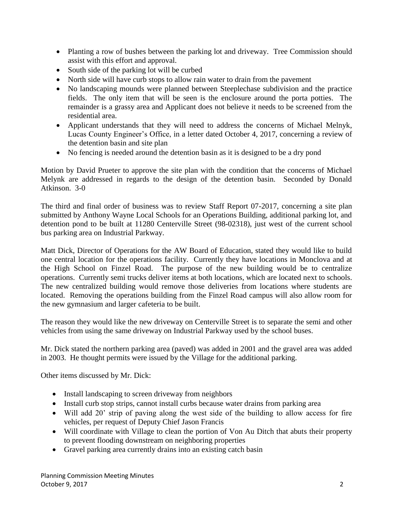- Planting a row of bushes between the parking lot and driveway. Tree Commission should assist with this effort and approval.
- South side of the parking lot will be curbed
- North side will have curb stops to allow rain water to drain from the pavement
- No landscaping mounds were planned between Steeplechase subdivision and the practice fields. The only item that will be seen is the enclosure around the porta potties. The remainder is a grassy area and Applicant does not believe it needs to be screened from the residential area.
- Applicant understands that they will need to address the concerns of Michael Melnyk, Lucas County Engineer's Office, in a letter dated October 4, 2017, concerning a review of the detention basin and site plan
- No fencing is needed around the detention basin as it is designed to be a dry pond

Motion by David Prueter to approve the site plan with the condition that the concerns of Michael Melynk are addressed in regards to the design of the detention basin. Seconded by Donald Atkinson. 3-0

The third and final order of business was to review Staff Report 07-2017, concerning a site plan submitted by Anthony Wayne Local Schools for an Operations Building, additional parking lot, and detention pond to be built at 11280 Centerville Street (98-02318), just west of the current school bus parking area on Industrial Parkway.

Matt Dick, Director of Operations for the AW Board of Education, stated they would like to build one central location for the operations facility. Currently they have locations in Monclova and at the High School on Finzel Road. The purpose of the new building would be to centralize operations. Currently semi trucks deliver items at both locations, which are located next to schools. The new centralized building would remove those deliveries from locations where students are located. Removing the operations building from the Finzel Road campus will also allow room for the new gymnasium and larger cafeteria to be built.

The reason they would like the new driveway on Centerville Street is to separate the semi and other vehicles from using the same driveway on Industrial Parkway used by the school buses.

Mr. Dick stated the northern parking area (paved) was added in 2001 and the gravel area was added in 2003. He thought permits were issued by the Village for the additional parking.

Other items discussed by Mr. Dick:

- Install landscaping to screen driveway from neighbors
- Install curb stop strips, cannot install curbs because water drains from parking area
- Will add 20' strip of paving along the west side of the building to allow access for fire vehicles, per request of Deputy Chief Jason Francis
- Will coordinate with Village to clean the portion of Von Au Ditch that abuts their property to prevent flooding downstream on neighboring properties
- Gravel parking area currently drains into an existing catch basin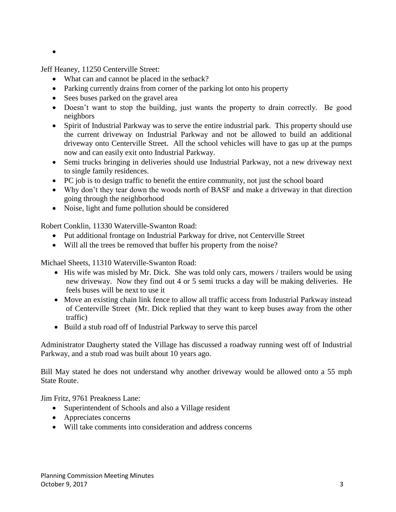$\bullet$ 

Jeff Heaney, 11250 Centerville Street:

- What can and cannot be placed in the setback?
- Parking currently drains from corner of the parking lot onto his property
- Sees buses parked on the gravel area
- Doesn't want to stop the building, just wants the property to drain correctly. Be good neighbors
- Spirit of Industrial Parkway was to serve the entire industrial park. This property should use the current driveway on Industrial Parkway and not be allowed to build an additional driveway onto Centerville Street. All the school vehicles will have to gas up at the pumps now and can easily exit onto Industrial Parkway.
- Semi trucks bringing in deliveries should use Industrial Parkway, not a new driveway next to single family residences.
- PC job is to design traffic to benefit the entire community, not just the school board
- Why don't they tear down the woods north of BASF and make a driveway in that direction going through the neighborhood
- Noise, light and fume pollution should be considered

Robert Conklin, 11330 Waterville-Swanton Road:

- Put additional frontage on Industrial Parkway for drive, not Centerville Street
- Will all the trees be removed that buffer his property from the noise?

Michael Sheets, 11310 Waterville-Swanton Road:

- His wife was misled by Mr. Dick. She was told only cars, mowers / trailers would be using new driveway. Now they find out 4 or 5 semi trucks a day will be making deliveries. He feels buses will be next to use it
- Move an existing chain link fence to allow all traffic access from Industrial Parkway instead of Centerville Street (Mr. Dick replied that they want to keep buses away from the other traffic)
- Build a stub road off of Industrial Parkway to serve this parcel

Administrator Daugherty stated the Village has discussed a roadway running west off of Industrial Parkway, and a stub road was built about 10 years ago.

Bill May stated he does not understand why another driveway would be allowed onto a 55 mph State Route.

Jim Fritz, 9761 Preakness Lane:

- Superintendent of Schools and also a Village resident
- Appreciates concerns
- Will take comments into consideration and address concerns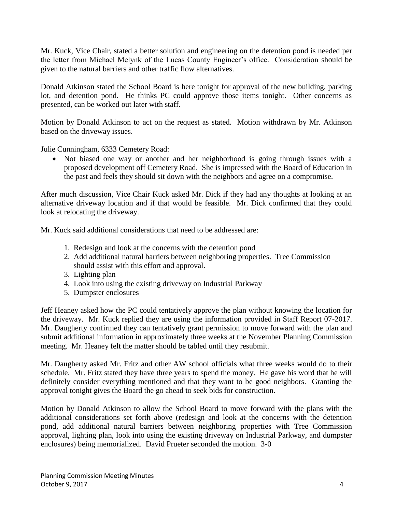Mr. Kuck, Vice Chair, stated a better solution and engineering on the detention pond is needed per the letter from Michael Melynk of the Lucas County Engineer's office. Consideration should be given to the natural barriers and other traffic flow alternatives.

Donald Atkinson stated the School Board is here tonight for approval of the new building, parking lot, and detention pond. He thinks PC could approve those items tonight. Other concerns as presented, can be worked out later with staff.

Motion by Donald Atkinson to act on the request as stated. Motion withdrawn by Mr. Atkinson based on the driveway issues.

Julie Cunningham, 6333 Cemetery Road:

 Not biased one way or another and her neighborhood is going through issues with a proposed development off Cemetery Road. She is impressed with the Board of Education in the past and feels they should sit down with the neighbors and agree on a compromise.

After much discussion, Vice Chair Kuck asked Mr. Dick if they had any thoughts at looking at an alternative driveway location and if that would be feasible. Mr. Dick confirmed that they could look at relocating the driveway.

Mr. Kuck said additional considerations that need to be addressed are:

- 1. Redesign and look at the concerns with the detention pond
- 2. Add additional natural barriers between neighboring properties. Tree Commission should assist with this effort and approval.
- 3. Lighting plan
- 4. Look into using the existing driveway on Industrial Parkway
- 5. Dumpster enclosures

Jeff Heaney asked how the PC could tentatively approve the plan without knowing the location for the driveway. Mr. Kuck replied they are using the information provided in Staff Report 07-2017. Mr. Daugherty confirmed they can tentatively grant permission to move forward with the plan and submit additional information in approximately three weeks at the November Planning Commission meeting. Mr. Heaney felt the matter should be tabled until they resubmit.

Mr. Daugherty asked Mr. Fritz and other AW school officials what three weeks would do to their schedule. Mr. Fritz stated they have three years to spend the money. He gave his word that he will definitely consider everything mentioned and that they want to be good neighbors. Granting the approval tonight gives the Board the go ahead to seek bids for construction.

Motion by Donald Atkinson to allow the School Board to move forward with the plans with the additional considerations set forth above (redesign and look at the concerns with the detention pond, add additional natural barriers between neighboring properties with Tree Commission approval, lighting plan, look into using the existing driveway on Industrial Parkway, and dumpster enclosures) being memorialized. David Prueter seconded the motion. 3-0